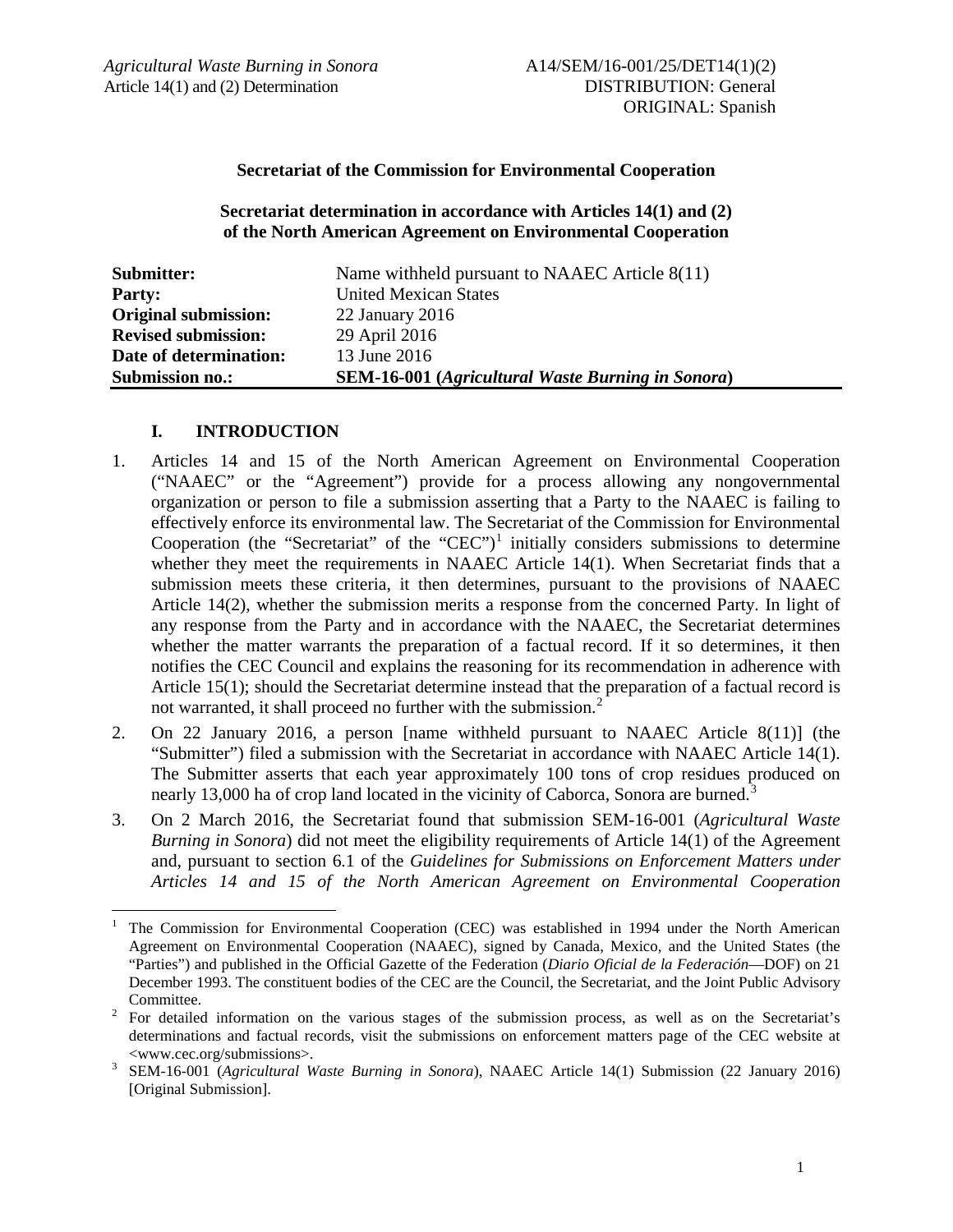#### **Secretariat of the Commission for Environmental Cooperation**

**Secretariat determination in accordance with Articles 14(1) and (2) of the North American Agreement on Environmental Cooperation**

| Submitter:                  | Name withheld pursuant to NAAEC Article 8(11)            |
|-----------------------------|----------------------------------------------------------|
| <b>Party:</b>               | <b>United Mexican States</b>                             |
| <b>Original submission:</b> | $22$ January $2016$                                      |
| <b>Revised submission:</b>  | 29 April 2016                                            |
| Date of determination:      | 13 June 2016                                             |
| <b>Submission no.:</b>      | <b>SEM-16-001</b> (Agricultural Waste Burning in Sonora) |

#### **I. INTRODUCTION**

- 1. Articles 14 and 15 of the North American Agreement on Environmental Cooperation ("NAAEC" or the "Agreement") provide for a process allowing any nongovernmental organization or person to file a submission asserting that a Party to the NAAEC is failing to effectively enforce its environmental law. The Secretariat of the Commission for Environmental Cooperation (the "Secretariat" of the "CEC")<sup>[1](#page-0-0)</sup> initially considers submissions to determine whether they meet the requirements in NAAEC Article 14(1). When Secretariat finds that a submission meets these criteria, it then determines, pursuant to the provisions of NAAEC Article 14(2), whether the submission merits a response from the concerned Party. In light of any response from the Party and in accordance with the NAAEC, the Secretariat determines whether the matter warrants the preparation of a factual record. If it so determines, it then notifies the CEC Council and explains the reasoning for its recommendation in adherence with Article 15(1); should the Secretariat determine instead that the preparation of a factual record is not warranted, it shall proceed no further with the submission.<sup>[2](#page-0-1)</sup>
- 2. On 22 January 2016, a person [name withheld pursuant to NAAEC Article 8(11)] (the "Submitter") filed a submission with the Secretariat in accordance with NAAEC Article 14(1). The Submitter asserts that each year approximately 100 tons of crop residues produced on nearly 1[3](#page-0-2),000 ha of crop land located in the vicinity of Caborca, Sonora are burned.<sup>3</sup>
- 3. On 2 March 2016, the Secretariat found that submission SEM-16-001 (*Agricultural Waste Burning in Sonora*) did not meet the eligibility requirements of Article 14(1) of the Agreement and, pursuant to section 6.1 of the *Guidelines for Submissions on Enforcement Matters under Articles 14 and 15 of the North American Agreement on Environmental Cooperation*

<span id="page-0-0"></span> <sup>1</sup> The Commission for Environmental Cooperation (CEC) was established in 1994 under the North American Agreement on Environmental Cooperation (NAAEC), signed by Canada, Mexico, and the United States (the "Parties") and published in the Official Gazette of the Federation (*Diario Oficial de la Federación*—DOF) on 21 December 1993. The constituent bodies of the CEC are the Council, the Secretariat, and the Joint Public Advisory

<span id="page-0-1"></span>Committee. <sup>2</sup> For detailed information on the various stages of the submission process, as well as on the Secretariat's determinations and factual records, visit the submissions on enforcement matters page of the CEC website at <www.cec.org/submissions>. <sup>3</sup> SEM-16-001 (*Agricultural Waste Burning in Sonora*), NAAEC Article 14(1) Submission (22 January 2016)

<span id="page-0-2"></span><sup>[</sup>Original Submission].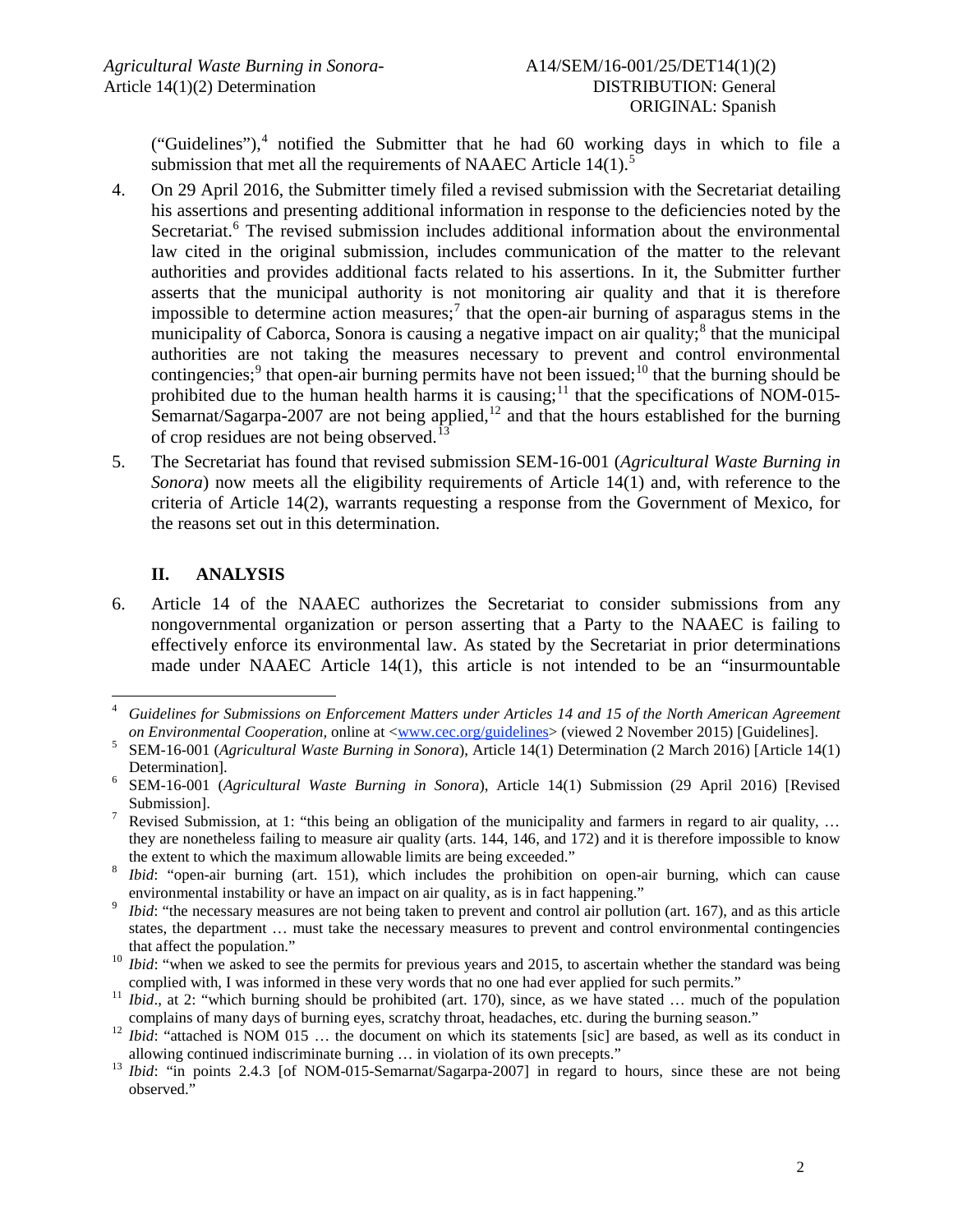("Guidelines"), $4$  notified the Submitter that he had 60 working days in which to file a submission that met all the requirements of NAAEC Article  $14(1)$ .<sup>[5](#page-1-1)</sup>

- 4. On 29 April 2016, the Submitter timely filed a revised submission with the Secretariat detailing his assertions and presenting additional information in response to the deficiencies noted by the Secretariat.<sup>[6](#page-1-2)</sup> The revised submission includes additional information about the environmental law cited in the original submission, includes communication of the matter to the relevant authorities and provides additional facts related to his assertions. In it, the Submitter further asserts that the municipal authority is not monitoring air quality and that it is therefore impossible to determine action measures;<sup>[7](#page-1-3)</sup> that the open-air burning of asparagus stems in the municipality of Caborca, Sonora is causing a negative impact on air quality;<sup>[8](#page-1-4)</sup> that the municipal authorities are not taking the measures necessary to prevent and control environmental contingencies;<sup>[9](#page-1-5)</sup> that open-air burning permits have not been issued;<sup>[10](#page-1-6)</sup> that the burning should be prohibited due to the human health harms it is causing;<sup>[11](#page-1-7)</sup> that the specifications of NOM-015-Semarnat/Sagarpa-2007 are not being applied, $^{12}$  $^{12}$  $^{12}$  and that the hours established for the burning of crop residues are not being observed.<sup>[13](#page-1-9)</sup>
- 5. The Secretariat has found that revised submission SEM-16-001 (*Agricultural Waste Burning in Sonora*) now meets all the eligibility requirements of Article 14(1) and, with reference to the criteria of Article 14(2), warrants requesting a response from the Government of Mexico, for the reasons set out in this determination.

# **II. ANALYSIS**

6. Article 14 of the NAAEC authorizes the Secretariat to consider submissions from any nongovernmental organization or person asserting that a Party to the NAAEC is failing to effectively enforce its environmental law. As stated by the Secretariat in prior determinations made under NAAEC Article 14(1), this article is not intended to be an "insurmountable

<span id="page-1-0"></span> <sup>4</sup> *Guidelines for Submissions on Enforcement Matters under Articles 14 and 15 of the North American Agreement*  on Environmental Cooperation, online at  $\langle$ www.cec.org/guidelines> (viewed 2 November 2015) [Guidelines].<br><sup>5</sup> SEM-16-001 (*Agricultural Waste Burning in Sonora*), Article 14(1) Determination (2 March 2016) [Article 14(1)

<span id="page-1-1"></span>Determination]. <sup>6</sup> SEM-16-001 (*Agricultural Waste Burning in Sonora*), Article 14(1) Submission (29 April 2016) [Revised

<span id="page-1-2"></span>Submission].<br><sup>7</sup> Revised Submission, at 1: "this being an obligation of the municipality and farmers in regard to air quality, ...

<span id="page-1-3"></span>they are nonetheless failing to measure air quality (arts. 144, 146, and 172) and it is therefore impossible to know

<span id="page-1-4"></span>the extent to which the maximum allowable limits are being exceeded."<br>*Ibid*: "open-air burning (art. 151), which includes the prohibition on open-air burning, which can cause environmental instability or have an impact on air quality, as is in fact happening." <sup>9</sup> *Ibid*: "the necessary measures are not being taken to prevent and control air pollution (art. 167), and as this article

<span id="page-1-5"></span>states, the department … must take the necessary measures to prevent and control environmental contingencies

<span id="page-1-6"></span>that affect the population."<br><sup>10</sup> *Ibid*: "when we asked to see the permits for previous years and 2015, to ascertain whether the standard was being

<span id="page-1-7"></span>complied with, I was informed in these very words that no one had ever applied for such permits."<br><sup>11</sup> *Ibid.*, at 2: "which burning should be prohibited (art. 170), since, as we have stated ... much of the population<br>comp

<span id="page-1-8"></span><sup>&</sup>lt;sup>12</sup> *Ibid*: "attached is NOM 015 ... the document on which its statements [sic] are based, as well as its conduct in allowing continued indiscriminate burning ... in violation of its own precepts."

<span id="page-1-9"></span><sup>&</sup>lt;sup>13</sup> *Ibid*: "in points 2.4.3 [of NOM-015-Semarnat/Sagarpa-2007] in regard to hours, since these are not being observed."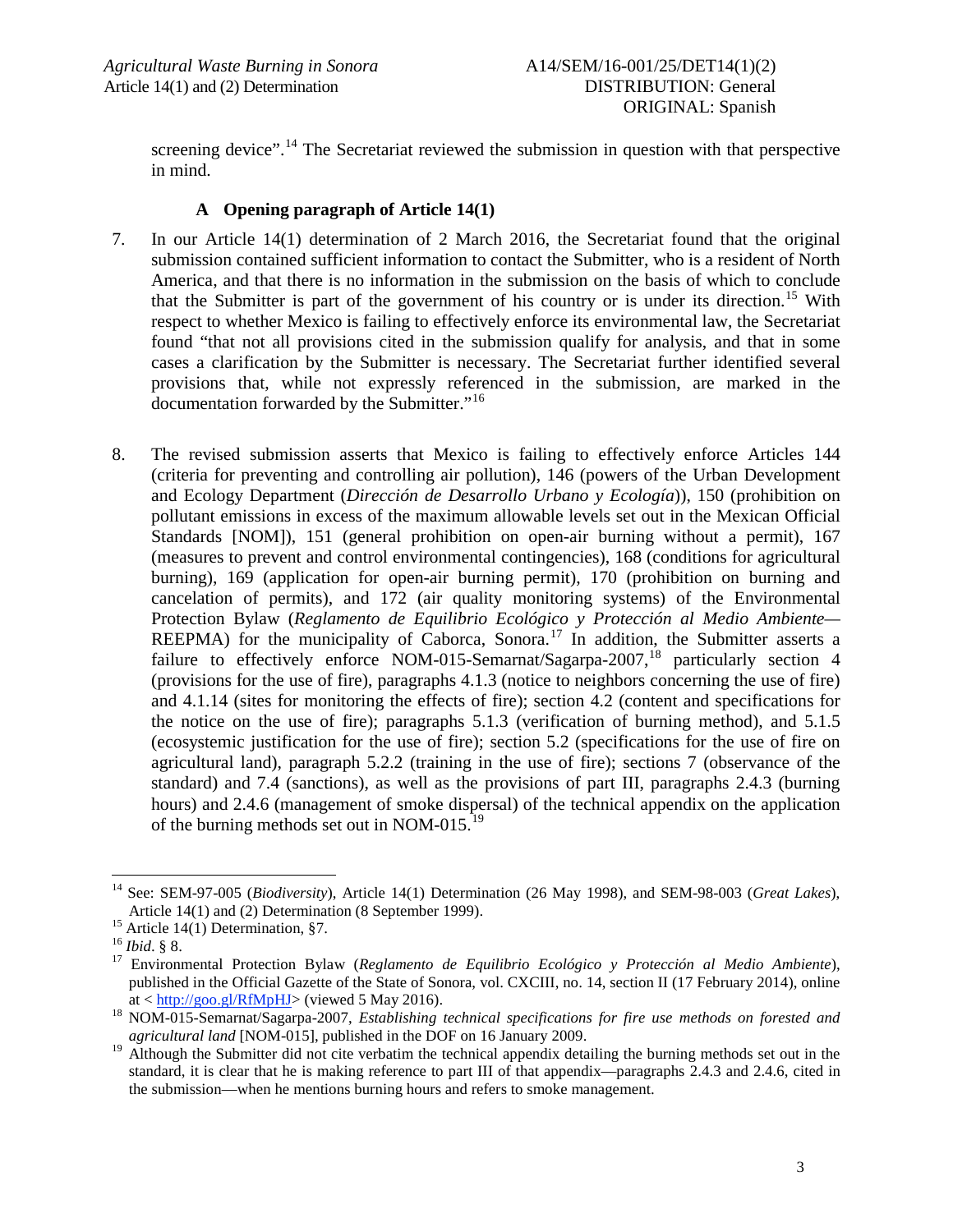screening device".<sup>[14](#page-2-0)</sup> The Secretariat reviewed the submission in question with that perspective in mind.

### **A Opening paragraph of Article 14(1)**

- 7. In our Article 14(1) determination of 2 March 2016, the Secretariat found that the original submission contained sufficient information to contact the Submitter, who is a resident of North America, and that there is no information in the submission on the basis of which to conclude that the Submitter is part of the government of his country or is under its direction.<sup>[15](#page-2-1)</sup> With respect to whether Mexico is failing to effectively enforce its environmental law, the Secretariat found "that not all provisions cited in the submission qualify for analysis, and that in some cases a clarification by the Submitter is necessary. The Secretariat further identified several provisions that, while not expressly referenced in the submission, are marked in the documentation forwarded by the Submitter."[16](#page-2-2)
- 8. The revised submission asserts that Mexico is failing to effectively enforce Articles 144 (criteria for preventing and controlling air pollution), 146 (powers of the Urban Development and Ecology Department (*Dirección de Desarrollo Urbano y Ecología*)), 150 (prohibition on pollutant emissions in excess of the maximum allowable levels set out in the Mexican Official Standards [NOM]), 151 (general prohibition on open-air burning without a permit), 167 (measures to prevent and control environmental contingencies), 168 (conditions for agricultural burning), 169 (application for open-air burning permit), 170 (prohibition on burning and cancelation of permits), and 172 (air quality monitoring systems) of the Environmental Protection Bylaw (*Reglamento de Equilibrio Ecológico y Protección al Medio Ambiente—* REEPMA) for the municipality of Caborca, Sonora.<sup>[17](#page-2-3)</sup> In addition, the Submitter asserts a failure to effectively enforce NOM-015-Semarnat/Sagarpa-2007,<sup>[18](#page-2-4)</sup> particularly section 4 (provisions for the use of fire), paragraphs 4.1.3 (notice to neighbors concerning the use of fire) and 4.1.14 (sites for monitoring the effects of fire); section 4.2 (content and specifications for the notice on the use of fire); paragraphs 5.1.3 (verification of burning method), and 5.1.5 (ecosystemic justification for the use of fire); section 5.2 (specifications for the use of fire on agricultural land), paragraph 5.2.2 (training in the use of fire); sections 7 (observance of the standard) and 7.4 (sanctions), as well as the provisions of part III, paragraphs 2.4.3 (burning hours) and 2.4.6 (management of smoke dispersal) of the technical appendix on the application of the burning methods set out in NOM-015. $^{19}$  $^{19}$  $^{19}$

<span id="page-2-6"></span><span id="page-2-0"></span><sup>&</sup>lt;sup>14</sup> See: SEM-97-005 (*Biodiversity*), Article 14(1) Determination (26 May 1998), and SEM-98-003 (*Great Lakes*), Article 14(1) and (2) Determination (8 September 1999).

<span id="page-2-3"></span><span id="page-2-2"></span>

<span id="page-2-1"></span><sup>&</sup>lt;sup>15</sup> Article 14(1) Determination, §7.<br><sup>16</sup> *Ibid.* § 8.<br><sup>17</sup> Environmental Protection Bylaw (*Reglamento de Equilibrio Ecológico y Protección al Medio Ambiente*), published in the Official Gazette of the State of Sonora, vol. CXCIII, no. 14, section II (17 February 2014), online at  $\langle \frac{\text{http://go.gl/RfMpHJ}}{\text{http://go.gl/RfMpHJ}} \rangle$  (viewed 5 May 2016).

<span id="page-2-4"></span><sup>&</sup>lt;sup>18</sup> NOM-015-Semarnat/Sagarpa-2007, *Establishing technical specifications for fire use methods on forested and agricultural land* [NOM-015], published in the DOF on 16 January 2009.

<span id="page-2-5"></span><sup>19</sup> Although the Submitter did not cite verbatim the technical appendix detailing the burning methods set out in the standard, it is clear that he is making reference to part III of that appendix—paragraphs 2.4.3 and 2.4.6, cited in the submission—when he mentions burning hours and refers to smoke management.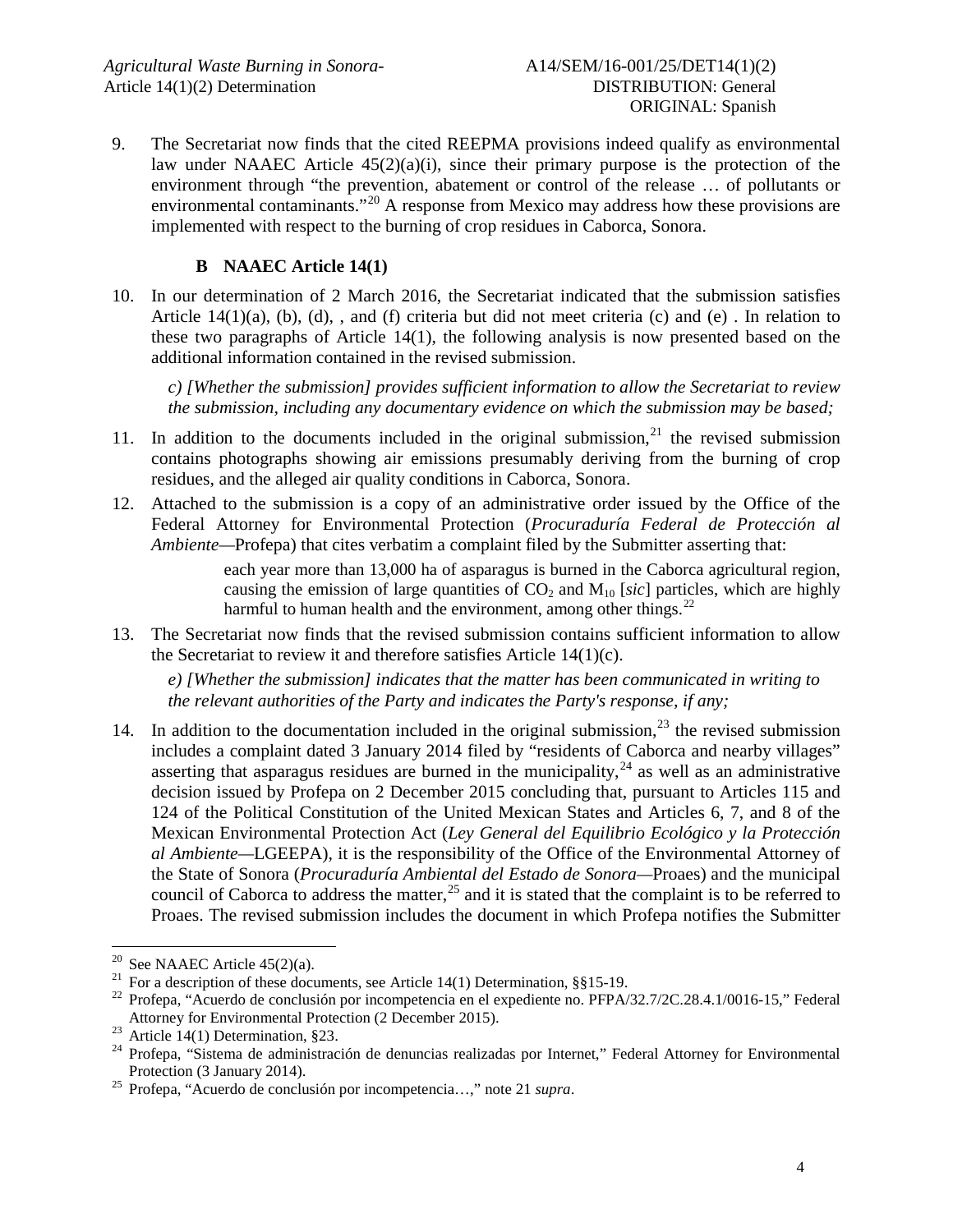9. The Secretariat now finds that the cited REEPMA provisions indeed qualify as environmental law under NAAEC Article 45(2)(a)(i), since their primary purpose is the protection of the environment through "the prevention, abatement or control of the release … of pollutants or environmental contaminants."<sup>[20](#page-3-0)</sup> A response from Mexico may address how these provisions are implemented with respect to the burning of crop residues in Caborca, Sonora.

# **B NAAEC Article 14(1)**

10. In our determination of 2 March 2016, the Secretariat indicated that the submission satisfies Article 14(1)(a), (b), (d), , and (f) criteria but did not meet criteria (c) and (e) . In relation to these two paragraphs of Article 14(1), the following analysis is now presented based on the additional information contained in the revised submission.

*c) [Whether the submission] provides sufficient information to allow the Secretariat to review the submission, including any documentary evidence on which the submission may be based;*

- 11. In addition to the documents included in the original submission,  $2^1$  the revised submission contains photographs showing air emissions presumably deriving from the burning of crop residues, and the alleged air quality conditions in Caborca, Sonora.
- 12. Attached to the submission is a copy of an administrative order issued by the Office of the Federal Attorney for Environmental Protection (*Procuraduría Federal de Protección al Ambiente—*Profepa) that cites verbatim a complaint filed by the Submitter asserting that:

each year more than 13,000 ha of asparagus is burned in the Caborca agricultural region, causing the emission of large quantities of  $CO<sub>2</sub>$  and  $M<sub>10</sub>$  [*sic*] particles, which are highly harmful to human health and the environment, among other things.<sup>[22](#page-3-2)</sup>

13. The Secretariat now finds that the revised submission contains sufficient information to allow the Secretariat to review it and therefore satisfies Article 14(1)(c).

*e) [Whether the submission] indicates that the matter has been communicated in writing to the relevant authorities of the Party and indicates the Party's response, if any;*

14. In addition to the documentation included in the original submission,  $2^3$  the revised submission includes a complaint dated 3 January 2014 filed by "residents of Caborca and nearby villages" asserting that asparagus residues are burned in the municipality, $^{24}$  $^{24}$  $^{24}$  as well as an administrative decision issued by Profepa on 2 December 2015 concluding that, pursuant to Articles 115 and 124 of the Political Constitution of the United Mexican States and Articles 6, 7, and 8 of the Mexican Environmental Protection Act (*Ley General del Equilibrio Ecológico y la Protección al Ambiente—*LGEEPA), it is the responsibility of the Office of the Environmental Attorney of the State of Sonora (*Procuraduría Ambiental del Estado de Sonora—*Proaes) and the municipal council of Caborca to address the matter,<sup>[25](#page-3-5)</sup> and it is stated that the complaint is to be referred to Proaes. The revised submission includes the document in which Profepa notifies the Submitter

<span id="page-3-2"></span><span id="page-3-1"></span>

<span id="page-3-0"></span><sup>&</sup>lt;sup>20</sup> See NAAEC Article 45(2)(a).<br><sup>21</sup> For a description of these documents, see Article 14(1) Determination, §§15-19.<br><sup>22</sup> Profepa, "Acuerdo de conclusión por incompetencia en el expediente no. PFPA/32.7/2C.28.4.1/0016-15

<span id="page-3-4"></span><span id="page-3-3"></span>Atticle 14(1) Determination, §23.<br>
<sup>24</sup> Profepa, "Sistema de administración de denuncias realizadas por Internet," Federal Attorney for Environmental<br>
Protection (3 January 2014).

<span id="page-3-5"></span><sup>&</sup>lt;sup>25</sup> Profepa, "Acuerdo de conclusión por incompetencia...," note 21 *supra*.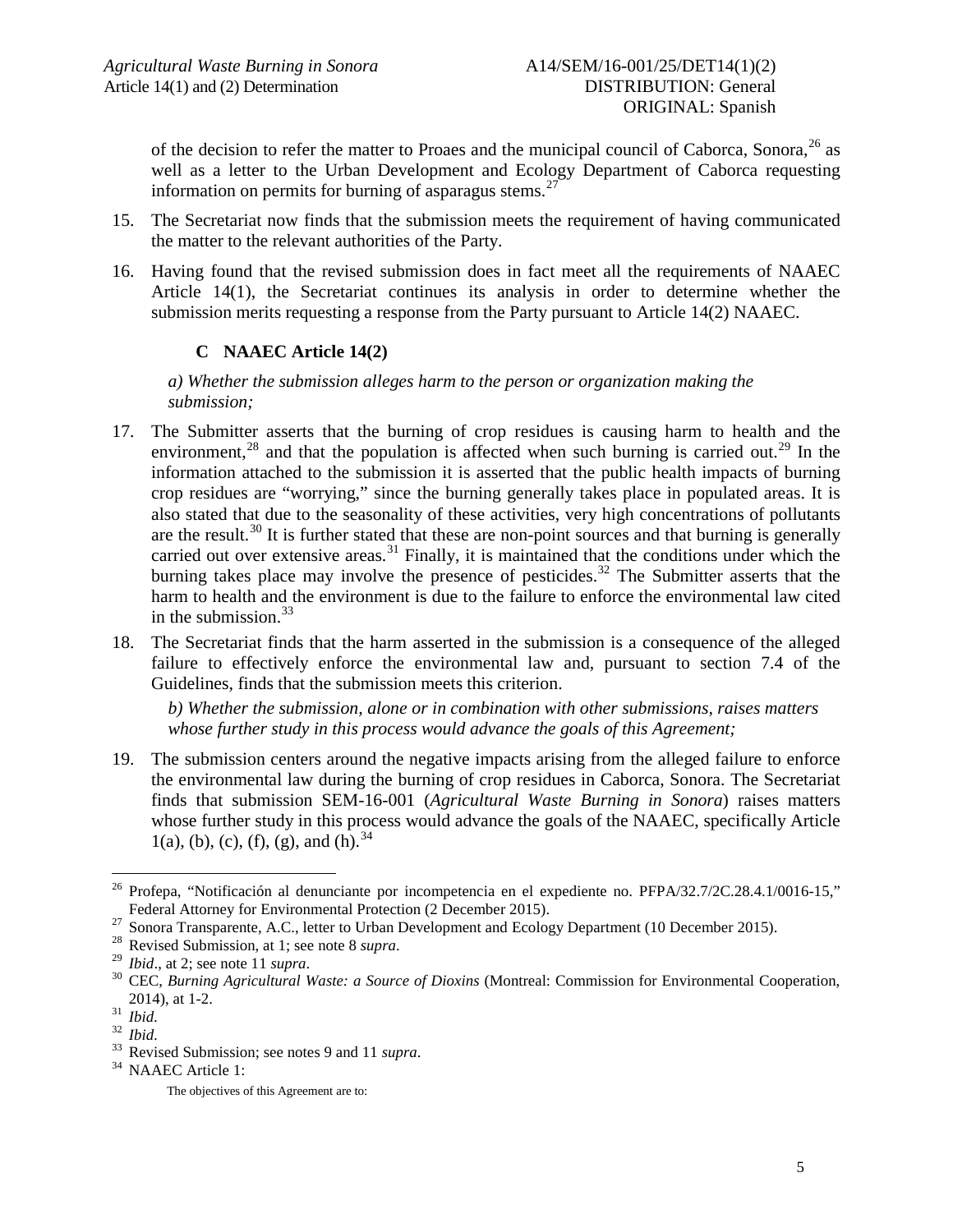of the decision to refer the matter to Proaes and the municipal council of Caborca, Sonora.<sup>[26](#page-4-0)</sup> as well as a letter to the Urban Development and Ecology Department of Caborca requesting information on permits for burning of asparagus stems.<sup>[27](#page-4-1)</sup>

- 15. The Secretariat now finds that the submission meets the requirement of having communicated the matter to the relevant authorities of the Party.
- 16. Having found that the revised submission does in fact meet all the requirements of NAAEC Article 14(1), the Secretariat continues its analysis in order to determine whether the submission merits requesting a response from the Party pursuant to Article 14(2) NAAEC.

# **C NAAEC Article 14(2)**

*a) Whether the submission alleges harm to the person or organization making the submission;*

- 17. The Submitter asserts that the burning of crop residues is causing harm to health and the environment,<sup>[28](#page-4-2)</sup> and that the population is affected when such burning is carried out.<sup>[29](#page-4-3)</sup> In the information attached to the submission it is asserted that the public health impacts of burning crop residues are "worrying," since the burning generally takes place in populated areas. It is also stated that due to the seasonality of these activities, very high concentrations of pollutants are the result.<sup>[30](#page-4-4)</sup> It is further stated that these are non-point sources and that burning is generally carried out over extensive areas.<sup>[31](#page-4-5)</sup> Finally, it is maintained that the conditions under which the burning takes place may involve the presence of pesticides.<sup>[32](#page-4-6)</sup> The Submitter asserts that the harm to health and the environment is due to the failure to enforce the environmental law cited in the submission.<sup>[33](#page-4-7)</sup>
- 18. The Secretariat finds that the harm asserted in the submission is a consequence of the alleged failure to effectively enforce the environmental law and, pursuant to section 7.4 of the Guidelines, finds that the submission meets this criterion.

*b) Whether the submission, alone or in combination with other submissions, raises matters whose further study in this process would advance the goals of this Agreement;*

19. The submission centers around the negative impacts arising from the alleged failure to enforce the environmental law during the burning of crop residues in Caborca, Sonora. The Secretariat finds that submission SEM-16-001 (*Agricultural Waste Burning in Sonora*) raises matters whose further study in this process would advance the goals of the NAAEC, specifically Article 1(a), (b), (c), (f), (g), and (h).  $34$ 

<span id="page-4-0"></span>Profepa, "Notificación al denunciante por incompetencia en el expediente no. PFPA/32.7/2C.28.4.1/0016-15,"<br>Federal Attorney for Environmental Protection (2 December 2015).

<span id="page-4-1"></span><sup>&</sup>lt;sup>27</sup> Sonora Transparente, A.C., letter to Urban Development and Ecology Department (10 December 2015).<br><sup>28</sup> Revised Submission, at 1; see note 8 *supra*.<br><sup>29</sup> Ibid., at 2; see note 11 *supra*.<br><sup>30</sup> CEC, *Burning Agricultu* 

<span id="page-4-2"></span>

<span id="page-4-3"></span>

<span id="page-4-4"></span>

<span id="page-4-6"></span><span id="page-4-5"></span>

<span id="page-4-7"></span>

<sup>2014),</sup> at 1-2.<br><sup>31</sup> *Ibid.*<br><sup>32</sup> *Ibid.* 33 Revised Submission; see notes 9 and 11 *supra*.<br><sup>34</sup> NAAEC Article 1:

<span id="page-4-8"></span>

The objectives of this Agreement are to: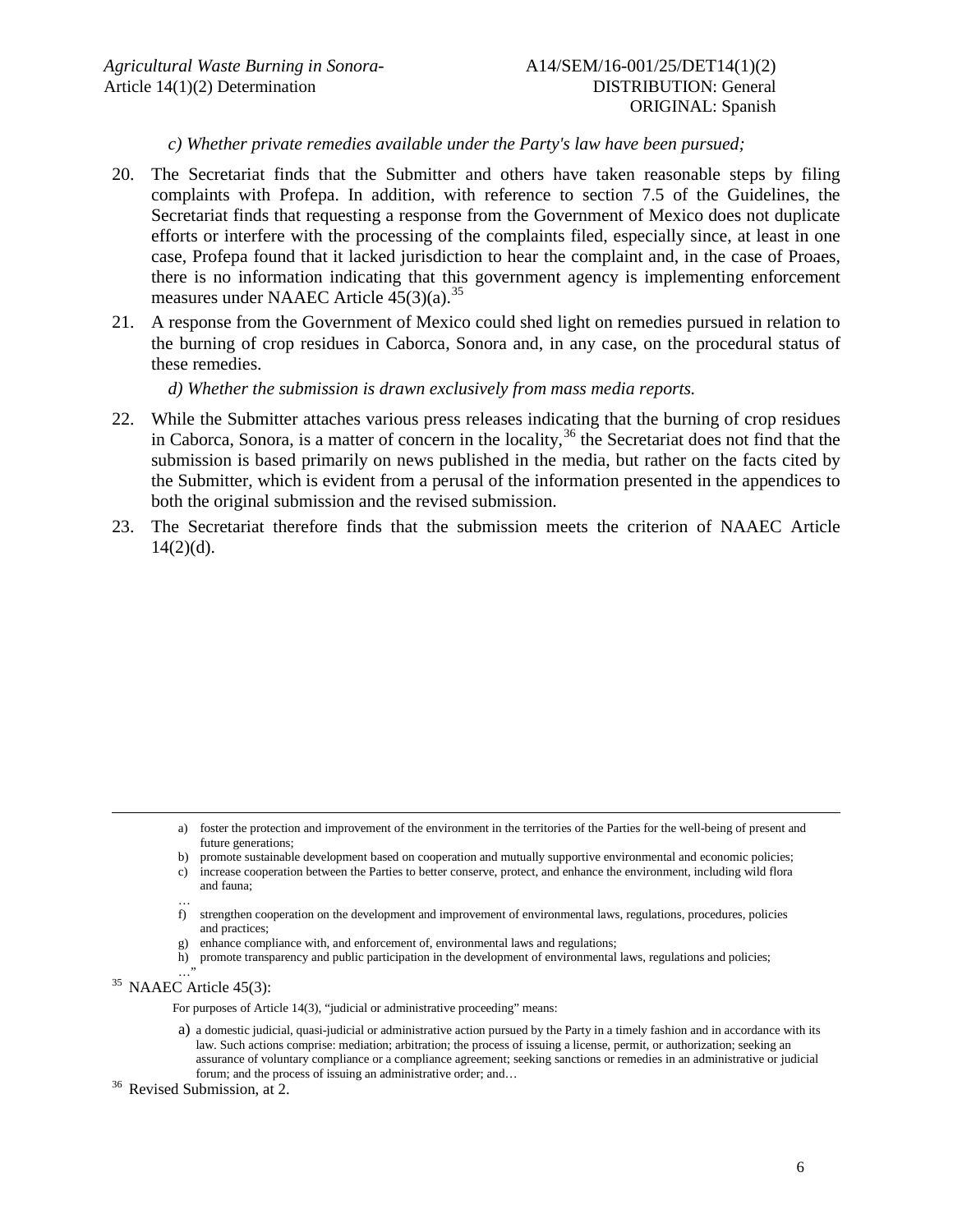*c) Whether private remedies available under the Party's law have been pursued;*

- 20. The Secretariat finds that the Submitter and others have taken reasonable steps by filing complaints with Profepa. In addition, with reference to section 7.5 of the Guidelines, the Secretariat finds that requesting a response from the Government of Mexico does not duplicate efforts or interfere with the processing of the complaints filed, especially since, at least in one case, Profepa found that it lacked jurisdiction to hear the complaint and, in the case of Proaes, there is no information indicating that this government agency is implementing enforcement measures under NAAEC Article  $45(3)(a)$ .<sup>[35](#page-5-0)</sup>
- 21. A response from the Government of Mexico could shed light on remedies pursued in relation to the burning of crop residues in Caborca, Sonora and, in any case, on the procedural status of these remedies.

*d) Whether the submission is drawn exclusively from mass media reports.*

- 22. While the Submitter attaches various press releases indicating that the burning of crop residues in Caborca, Sonora, is a matter of concern in the locality, [36](#page-5-1) the Secretariat does not find that the submission is based primarily on news published in the media, but rather on the facts cited by the Submitter, which is evident from a perusal of the information presented in the appendices to both the original submission and the revised submission.
- 23. The Secretariat therefore finds that the submission meets the criterion of NAAEC Article  $14(2)(d)$ .

- a) foster the protection and improvement of the environment in the territories of the Parties for the well-being of present and future generations;
- b) promote sustainable development based on cooperation and mutually supportive environmental and economic policies;
- c) increase cooperation between the Parties to better conserve, protect, and enhance the environment, including wild flora and fauna;
- … f) strengthen cooperation on the development and improvement of environmental laws, regulations, procedures, policies and practices;
- g) enhance compliance with, and enforcement of, environmental laws and regulations;
- h) promote transparency and public participation in the development of environmental laws, regulations and policies;

<span id="page-5-0"></span> $35$  NAAEC Article 45(3):

For purposes of Article 14(3), "judicial or administrative proceeding" means:

- a) a domestic judicial, quasi-judicial or administrative action pursued by the Party in a timely fashion and in accordance with its law. Such actions comprise: mediation; arbitration; the process of issuing a license, permit, or authorization; seeking an assurance of voluntary compliance or a compliance agreement; seeking sanctions or remedies in an administrative or judicial forum; and the process of issuing an administrative order; and… <sup>36</sup> Revised Submission, at 2.
- <span id="page-5-1"></span>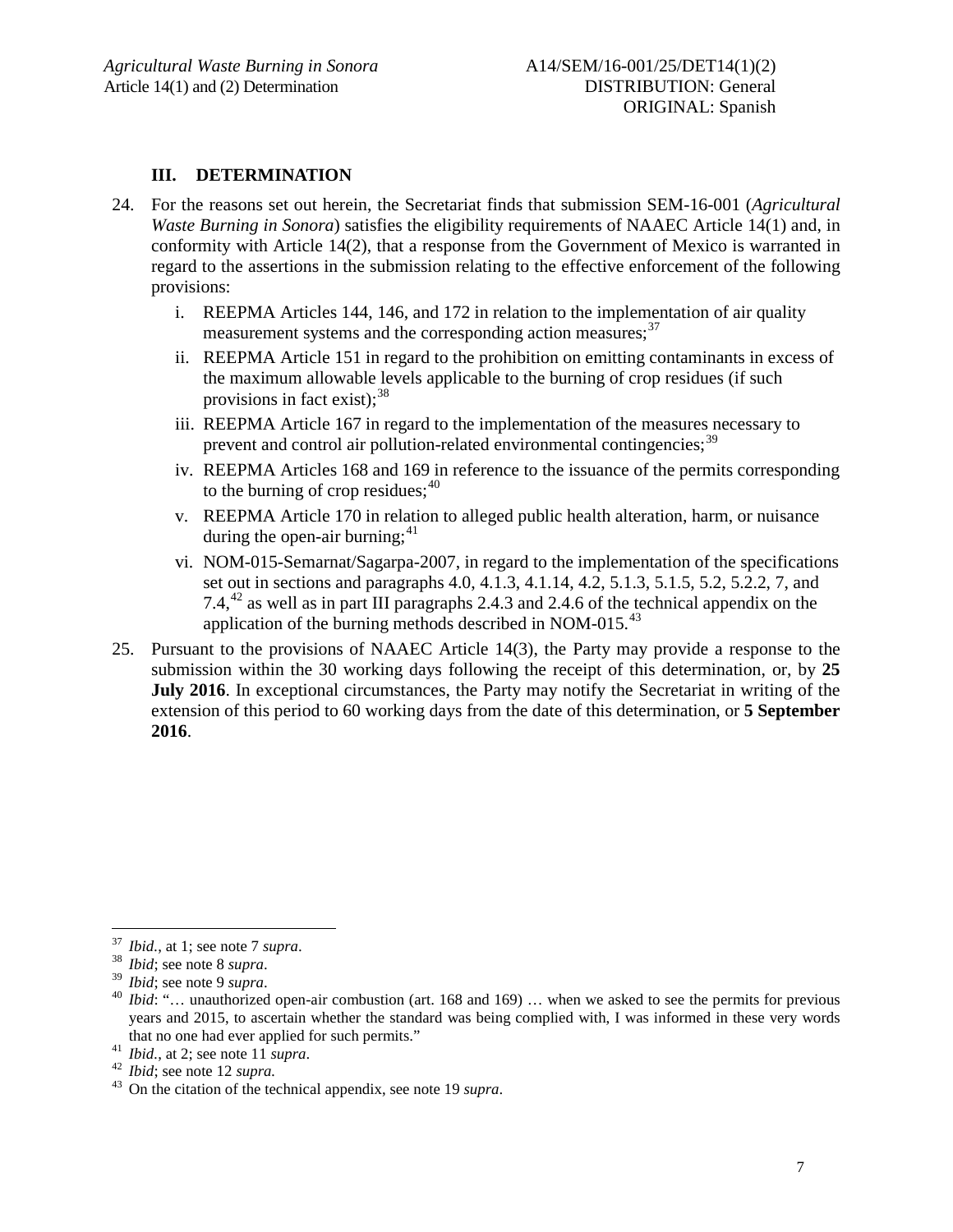### **III. DETERMINATION**

- 24. For the reasons set out herein, the Secretariat finds that submission SEM-16-001 (*Agricultural Waste Burning in Sonora*) satisfies the eligibility requirements of NAAEC Article 14(1) and, in conformity with Article 14(2), that a response from the Government of Mexico is warranted in regard to the assertions in the submission relating to the effective enforcement of the following provisions:
	- i. REEPMA Articles 144, 146, and 172 in relation to the implementation of air quality measurement systems and the corresponding action measures;<sup>[37](#page-6-0)</sup>
	- ii. REEPMA Article 151 in regard to the prohibition on emitting contaminants in excess of the maximum allowable levels applicable to the burning of crop residues (if such provisions in fact exist):  $38$
	- iii. REEPMA Article 167 in regard to the implementation of the measures necessary to prevent and control air pollution-related environmental contingencies;<sup>[39](#page-6-2)</sup>
	- iv. REEPMA Articles 168 and 169 in reference to the issuance of the permits corresponding to the burning of crop residues;<sup>[40](#page-6-3)</sup>
	- v. REEPMA Article 170 in relation to alleged public health alteration, harm, or nuisance during the open-air burning;<sup>[41](#page-6-4)</sup>
	- vi. NOM-015-Semarnat/Sagarpa-2007, in regard to the implementation of the specifications set out in sections and paragraphs 4.0, 4.1.3, 4.1.14, 4.2, 5.1.3, 5.1.5, 5.2, 5.2.2, 7, and 7.4, $^{42}$  $^{42}$  $^{42}$  as well as in part III paragraphs 2.4.3 and 2.4.6 of the technical appendix on the application of the burning methods described in NOM-015. $^{43}$  $^{43}$  $^{43}$
- 25. Pursuant to the provisions of NAAEC Article 14(3), the Party may provide a response to the submission within the 30 working days following the receipt of this determination, or, by **25 July 2016**. In exceptional circumstances, the Party may notify the Secretariat in writing of the extension of this period to 60 working days from the date of this determination, or **5 September 2016**.

<span id="page-6-3"></span><span id="page-6-2"></span>

<span id="page-6-1"></span><span id="page-6-0"></span><sup>&</sup>lt;sup>37</sup> *Ibid.*, at 1; see note 7 *supra*.<br><sup>38</sup> *Ibid*; see note 8 *supra*.<br><sup>39</sup> *Ibid*; see note 9 *supra*.<br><sup>40</sup> *Ibid:* "... unauthorized open-air combustion (art. 168 and 169) ... when we asked to see the permits for prev years and 2015, to ascertain whether the standard was being complied with, I was informed in these very words

<span id="page-6-4"></span>

<span id="page-6-6"></span><span id="page-6-5"></span>

that no one had ever applied for such permits."<br><sup>41</sup> *Ibid.*, at 2; see note 11 *supra*.<br><sup>42</sup> *Ibid*; see note 12 *supra*.<br><sup>43</sup> On the citation of the technical appendix, see note [19](#page-2-6) *supra*.